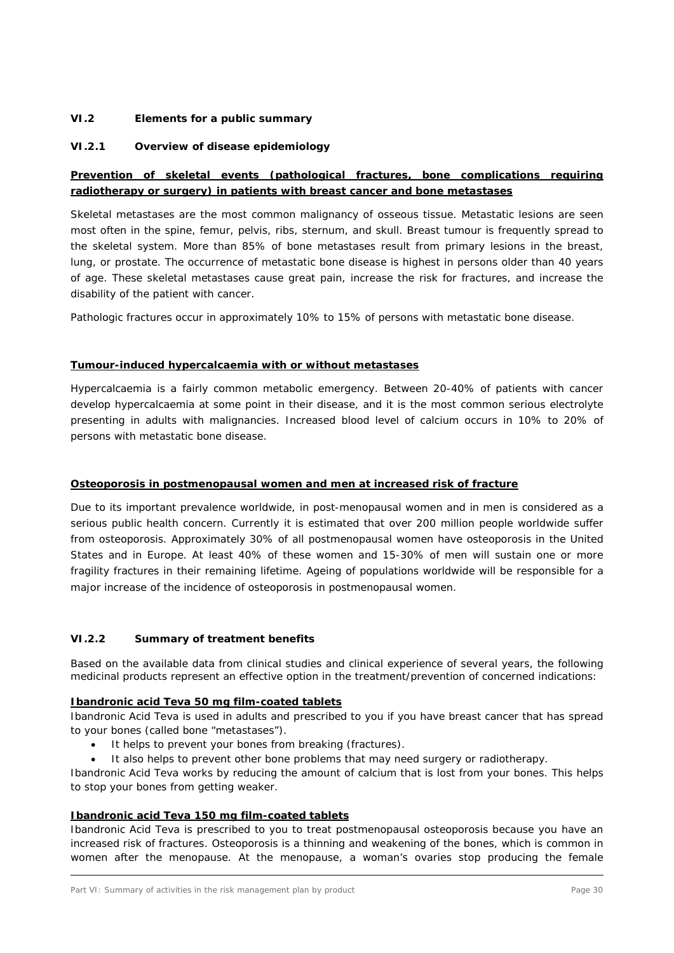### **VI.2 Elements for a public summary**

### *VI.2.1 Overview of disease epidemiology*

## **Prevention of skeletal events (pathological fractures, bone complications requiring radiotherapy or surgery) in patients with breast cancer and bone metastases**

Skeletal metastases are the most common malignancy of osseous tissue. Metastatic lesions are seen most often in the spine, femur, pelvis, ribs, sternum, and skull. Breast tumour is frequently spread to the skeletal system. More than 85% of bone metastases result from primary lesions in the breast, lung, or prostate. The occurrence of metastatic bone disease is highest in persons older than 40 years of age. These skeletal metastases cause great pain, increase the risk for fractures, and increase the disability of the patient with cancer.

Pathologic fractures occur in approximately 10% to 15% of persons with metastatic bone disease.

### **Tumour-induced hypercalcaemia with or without metastases**

Hypercalcaemia is a fairly common metabolic emergency. Between 20-40% of patients with cancer develop hypercalcaemia at some point in their disease, and it is the most common serious electrolyte presenting in adults with malignancies. Increased blood level of calcium occurs in 10% to 20% of persons with metastatic bone disease.

### **Osteoporosis in postmenopausal women and men at increased risk of fracture**

Due to its important prevalence worldwide, in post-menopausal women and in men is considered as a serious public health concern. Currently it is estimated that over 200 million people worldwide suffer from osteoporosis. Approximately 30% of all postmenopausal women have osteoporosis in the United States and in Europe. At least 40% of these women and 15-30% of men will sustain one or more fragility fractures in their remaining lifetime. Ageing of populations worldwide will be responsible for a major increase of the incidence of osteoporosis in postmenopausal women.

## *VI.2.2 Summary of treatment benefits*

Based on the available data from clinical studies and clinical experience of several years, the following medicinal products represent an effective option in the treatment/prevention of concerned indications:

### **Ibandronic acid Teva 50 mg film-coated tablets**

Ibandronic Acid Teva is used in adults and prescribed to you if you have breast cancer that has spread to your bones (called bone "metastases").

- It helps to prevent your bones from breaking (fractures).
- It also helps to prevent other bone problems that may need surgery or radiotherapy.

Ibandronic Acid Teva works by reducing the amount of calcium that is lost from your bones. This helps to stop your bones from getting weaker.

### **Ibandronic acid Teva 150 mg film-coated tablets**

Ibandronic Acid Teva is prescribed to you to treat postmenopausal osteoporosis because you have an increased risk of fractures. Osteoporosis is a thinning and weakening of the bones, which is common in women after the menopause. At the menopause, a woman's ovaries stop producing the female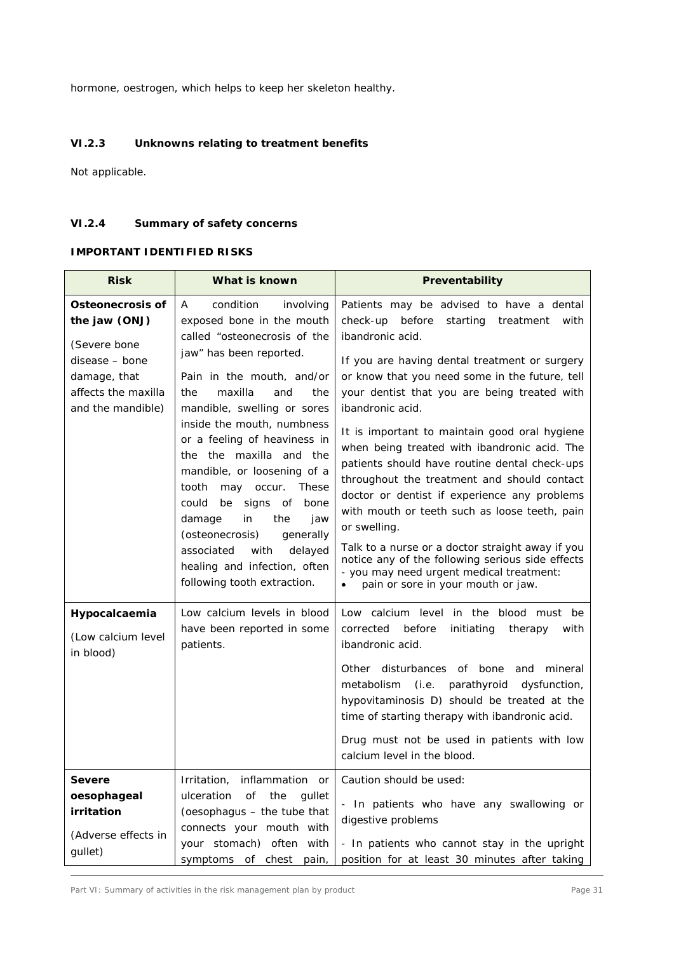hormone, oestrogen, which helps to keep her skeleton healthy.

## *VI.2.3 Unknowns relating to treatment benefits*

Not applicable.

## *VI.2.4 Summary of safety concerns*

### **IMPORTANT IDENTIFIED RISKS**

| <b>Risk</b>                                                                                                                     | What is known                                                                                                                                                                                                                                                                                                                                                                                                                                                                                                                                                         | Preventability                                                                                                                                                                                                                                                                                                                                                                                                                                                                                                                                                                                                                                                                                                                                                                                                      |
|---------------------------------------------------------------------------------------------------------------------------------|-----------------------------------------------------------------------------------------------------------------------------------------------------------------------------------------------------------------------------------------------------------------------------------------------------------------------------------------------------------------------------------------------------------------------------------------------------------------------------------------------------------------------------------------------------------------------|---------------------------------------------------------------------------------------------------------------------------------------------------------------------------------------------------------------------------------------------------------------------------------------------------------------------------------------------------------------------------------------------------------------------------------------------------------------------------------------------------------------------------------------------------------------------------------------------------------------------------------------------------------------------------------------------------------------------------------------------------------------------------------------------------------------------|
| Osteonecrosis of<br>the jaw (ONJ)<br>(Severe bone<br>disease - bone<br>damage, that<br>affects the maxilla<br>and the mandible) | condition<br>involving<br>A<br>exposed bone in the mouth<br>called "osteonecrosis of the<br>jaw" has been reported.<br>Pain in the mouth, and/or<br>maxilla<br>the<br>the<br>and<br>mandible, swelling or sores<br>inside the mouth, numbness<br>or a feeling of heaviness in<br>the the maxilla and the<br>mandible, or loosening of a<br>tooth<br>may occur.<br>These<br>could<br>signs of bone<br>be<br>damage<br>in<br>the<br>jaw<br>(osteonecrosis)<br>generally<br>delayed<br>associated<br>with<br>healing and infection, often<br>following tooth extraction. | Patients may be advised to have a dental<br>starting<br>check-up<br>before<br>treatment<br>with<br>ibandronic acid.<br>If you are having dental treatment or surgery<br>or know that you need some in the future, tell<br>your dentist that you are being treated with<br>ibandronic acid.<br>It is important to maintain good oral hygiene<br>when being treated with ibandronic acid. The<br>patients should have routine dental check-ups<br>throughout the treatment and should contact<br>doctor or dentist if experience any problems<br>with mouth or teeth such as loose teeth, pain<br>or swelling.<br>Talk to a nurse or a doctor straight away if you<br>notice any of the following serious side effects<br>- you may need urgent medical treatment:<br>pain or sore in your mouth or jaw.<br>$\bullet$ |
| Hypocalcaemia<br>(Low calcium level<br>in blood)                                                                                | Low calcium levels in blood<br>have been reported in some<br>patients.                                                                                                                                                                                                                                                                                                                                                                                                                                                                                                | Low calcium level in the blood must be<br>corrected<br>before<br>initiating<br>therapy<br>with<br>ibandronic acid.<br>Other disturbances of bone and<br>mineral<br>metabolism<br>(i.e. parathyroid<br>dysfunction,<br>hypovitaminosis D) should be treated at the<br>time of starting therapy with ibandronic acid.<br>Drug must not be used in patients with low<br>calcium level in the blood.                                                                                                                                                                                                                                                                                                                                                                                                                    |
| Severe<br>oesophageal<br>irritation<br>(Adverse effects in<br>gullet)                                                           | Irritation, inflammation or<br>ulceration<br>of<br>the<br>quilet<br>(oesophagus - the tube that<br>connects your mouth with<br>your stomach) often with<br>symptoms of chest pain,                                                                                                                                                                                                                                                                                                                                                                                    | Caution should be used:<br>- In patients who have any swallowing or<br>digestive problems<br>- In patients who cannot stay in the upright<br>position for at least 30 minutes after taking                                                                                                                                                                                                                                                                                                                                                                                                                                                                                                                                                                                                                          |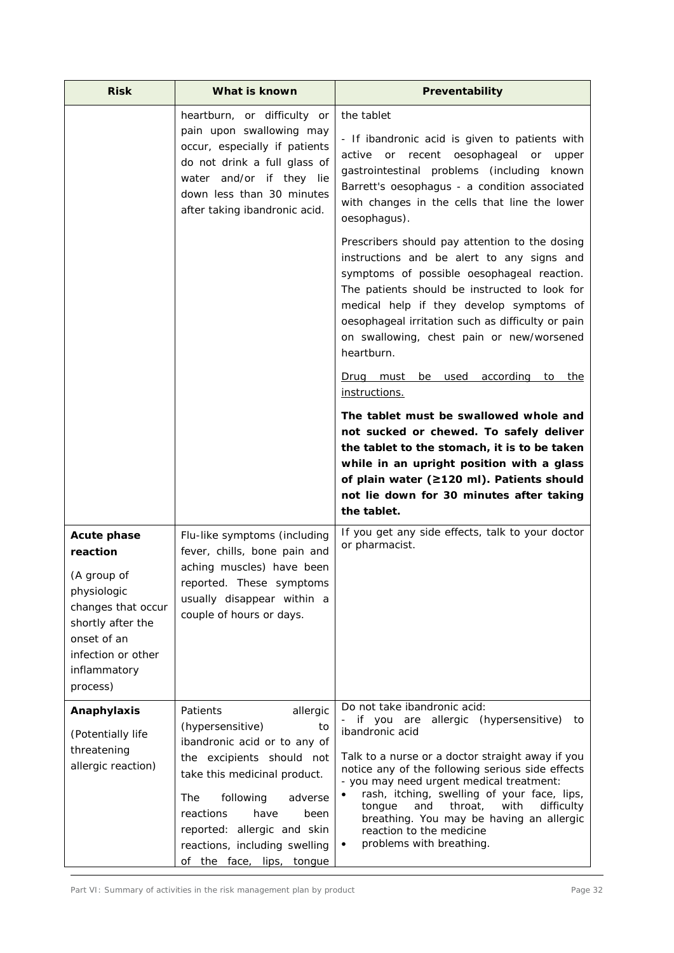| <b>Risk</b>                                                                                                                                                              | What is known                                                                                                                                                                                                                                                                                               | Preventability                                                                                                                                                                                                                                                                                                                                                                                                                                                     |
|--------------------------------------------------------------------------------------------------------------------------------------------------------------------------|-------------------------------------------------------------------------------------------------------------------------------------------------------------------------------------------------------------------------------------------------------------------------------------------------------------|--------------------------------------------------------------------------------------------------------------------------------------------------------------------------------------------------------------------------------------------------------------------------------------------------------------------------------------------------------------------------------------------------------------------------------------------------------------------|
|                                                                                                                                                                          | heartburn, or difficulty or<br>pain upon swallowing may<br>occur, especially if patients<br>do not drink a full glass of<br>water and/or if they lie<br>down less than 30 minutes<br>after taking ibandronic acid.                                                                                          | the tablet<br>- If ibandronic acid is given to patients with<br>recent oesophageal<br>active or<br>or<br>upper<br>gastrointestinal problems (including<br>known<br>Barrett's oesophagus - a condition associated<br>with changes in the cells that line the lower<br>oesophagus).                                                                                                                                                                                  |
|                                                                                                                                                                          |                                                                                                                                                                                                                                                                                                             | Prescribers should pay attention to the dosing<br>instructions and be alert to any signs and<br>symptoms of possible oesophageal reaction.<br>The patients should be instructed to look for<br>medical help if they develop symptoms of<br>oesophageal irritation such as difficulty or pain<br>on swallowing, chest pain or new/worsened<br>heartburn.                                                                                                            |
|                                                                                                                                                                          |                                                                                                                                                                                                                                                                                                             | Drug must be used according to the<br>instructions.                                                                                                                                                                                                                                                                                                                                                                                                                |
|                                                                                                                                                                          |                                                                                                                                                                                                                                                                                                             | The tablet must be swallowed whole and<br>not sucked or chewed. To safely deliver<br>the tablet to the stomach, it is to be taken<br>while in an upright position with a glass<br>of plain water (≥120 ml). Patients should<br>not lie down for 30 minutes after taking<br>the tablet.                                                                                                                                                                             |
| <b>Acute phase</b><br>reaction<br>(A group of<br>physiologic<br>changes that occur<br>shortly after the<br>onset of an<br>infection or other<br>inflammatory<br>process) | Flu-like symptoms (including<br>fever, chills, bone pain and<br>aching muscles) have been<br>reported. These symptoms<br>usually disappear within a<br>couple of hours or days.                                                                                                                             | If you get any side effects, talk to your doctor<br>or pharmacist.                                                                                                                                                                                                                                                                                                                                                                                                 |
| Anaphylaxis<br>(Potentially life<br>threatening<br>allergic reaction)                                                                                                    | allergic<br>Patients<br>(hypersensitive)<br>to<br>ibandronic acid or to any of<br>the excipients should not<br>take this medicinal product.<br><b>The</b><br>following<br>adverse<br>reactions<br>have<br>been<br>reported: allergic and skin<br>reactions, including swelling<br>of the face, lips, tongue | Do not take ibandronic acid:<br>- if you are allergic (hypersensitive) to<br>ibandronic acid<br>Talk to a nurse or a doctor straight away if you<br>notice any of the following serious side effects<br>- you may need urgent medical treatment:<br>rash, itching, swelling of your face, lips,<br>with<br>and<br>throat,<br>difficulty<br>tongue<br>breathing. You may be having an allergic<br>reaction to the medicine<br>problems with breathing.<br>$\bullet$ |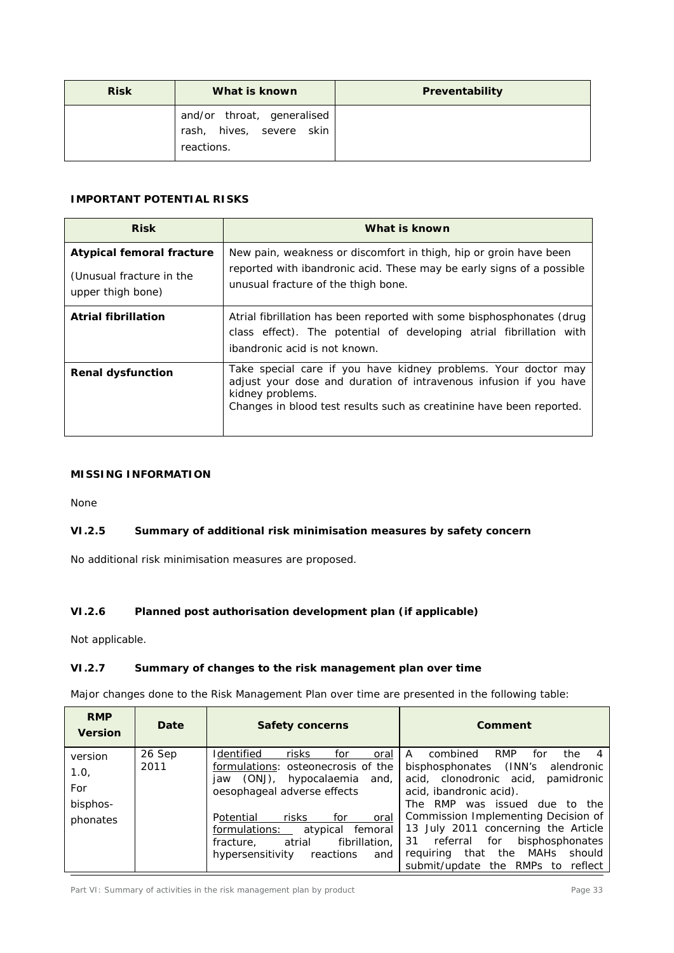| <b>Risk</b> | What is known                                                        | Preventability |
|-------------|----------------------------------------------------------------------|----------------|
|             | and/or throat, generalised<br>rash, hives, severe skin<br>reactions. |                |

## **IMPORTANT POTENTIAL RISKS**

| <b>Risk</b>                                                                       | What is known                                                                                                                                                                                                                   |
|-----------------------------------------------------------------------------------|---------------------------------------------------------------------------------------------------------------------------------------------------------------------------------------------------------------------------------|
| <b>Atypical femoral fracture</b><br>(Unusual fracture in the<br>upper thigh bone) | New pain, weakness or discomfort in thigh, hip or groin have been<br>reported with ibandronic acid. These may be early signs of a possible<br>unusual fracture of the thigh bone.                                               |
| <b>Atrial fibrillation</b>                                                        | Atrial fibrillation has been reported with some bisphosphonates (drug<br>class effect). The potential of developing atrial fibrillation with<br>ibandronic acid is not known.                                                   |
| <b>Renal dysfunction</b>                                                          | Take special care if you have kidney problems. Your doctor may<br>adjust your dose and duration of intravenous infusion if you have<br>kidney problems.<br>Changes in blood test results such as creatinine have been reported. |

## **MISSING INFORMATION**

None

# *VI.2.5 Summary of additional risk minimisation measures by safety concern*

No additional risk minimisation measures are proposed.

## *VI.2.6 Planned post authorisation development plan (if applicable)*

Not applicable.

## *VI.2.7 Summary of changes to the risk management plan over time*

Major changes done to the Risk Management Plan over time are presented in the following table:

| <b>RMP</b><br><b>Version</b>                   | Date           | <b>Safety concerns</b>                                                                                                                                                                                                                                                                                  | Comment                                                                                                                                                                                                                                                                                                                                                                                                          |
|------------------------------------------------|----------------|---------------------------------------------------------------------------------------------------------------------------------------------------------------------------------------------------------------------------------------------------------------------------------------------------------|------------------------------------------------------------------------------------------------------------------------------------------------------------------------------------------------------------------------------------------------------------------------------------------------------------------------------------------------------------------------------------------------------------------|
| version<br>1.0,<br>For<br>bisphos-<br>phonates | 26 Sep<br>2011 | Identified<br>risks<br>for<br>oral<br>formulations: osteonecrosis of the<br>(ONJ), hypocalaemia and,<br>iaw<br>oesophageal adverse effects<br>for<br>Potential<br>risks<br>oral<br>formulations:<br>atypical<br>femoral<br>atrial<br>fibrillation.<br>fracture.<br>hypersensitivity<br>reactions<br>and | A<br>combined<br><b>RMP</b><br>the<br>for<br>bisphosphonates (INN's<br>alendronic<br>acid, clonodronic acid,<br>pamidronic<br>acid, ibandronic acid).<br><b>RMP</b><br>was issued due<br>The<br>to the<br>Commission Implementing Decision of<br>13 July 2011 concerning the Article<br>bisphosphonates<br>for<br>31<br>referral<br>that the MAHs<br>should<br>reguiring<br>submit/update the RMPs to<br>reflect |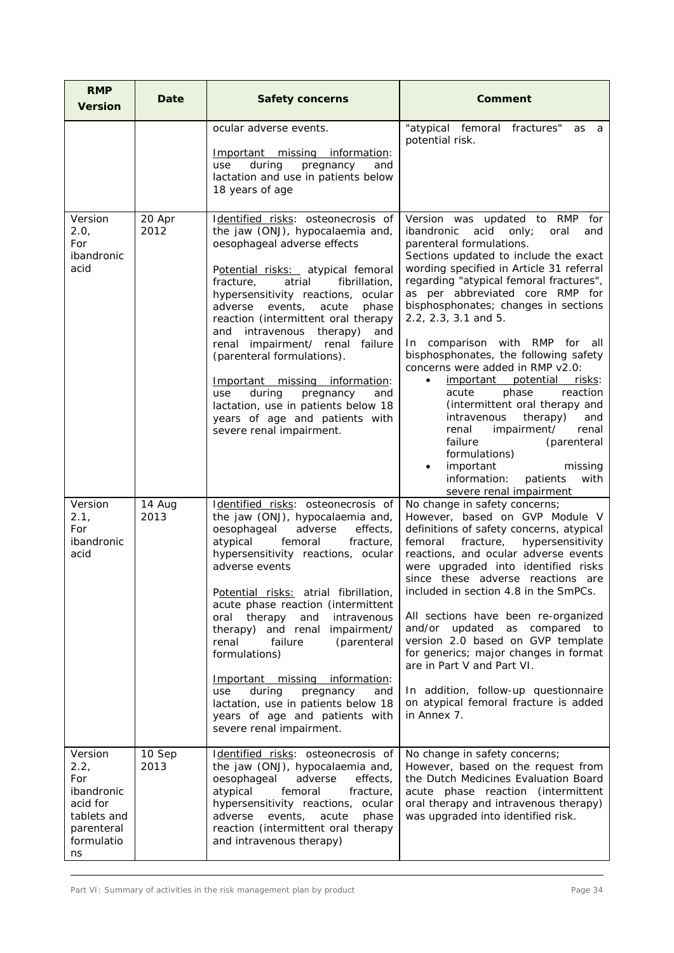| <b>RMP</b><br><b>Version</b>                                                                      | Date           | <b>Safety concerns</b>                                                                                                                                                                                                                                                                                                                                                                                                                                                                                                                                                                             | <b>Comment</b>                                                                                                                                                                                                                                                                                                                                                                                                                                                                                                                                                                                                                                                                                                                                                                |
|---------------------------------------------------------------------------------------------------|----------------|----------------------------------------------------------------------------------------------------------------------------------------------------------------------------------------------------------------------------------------------------------------------------------------------------------------------------------------------------------------------------------------------------------------------------------------------------------------------------------------------------------------------------------------------------------------------------------------------------|-------------------------------------------------------------------------------------------------------------------------------------------------------------------------------------------------------------------------------------------------------------------------------------------------------------------------------------------------------------------------------------------------------------------------------------------------------------------------------------------------------------------------------------------------------------------------------------------------------------------------------------------------------------------------------------------------------------------------------------------------------------------------------|
|                                                                                                   |                | ocular adverse events.<br>Important missing information:<br>during<br>pregnancy<br>and<br>use<br>lactation and use in patients below<br>18 years of age                                                                                                                                                                                                                                                                                                                                                                                                                                            | "atypical femoral fractures"<br>as<br>a<br>potential risk.                                                                                                                                                                                                                                                                                                                                                                                                                                                                                                                                                                                                                                                                                                                    |
| Version<br>2.0,<br>For<br>ibandronic<br>acid                                                      | 20 Apr<br>2012 | Identified risks: osteonecrosis of<br>the jaw (ONJ), hypocalaemia and,<br>oesophageal adverse effects<br>Potential risks: atypical femoral<br>atrial<br>fibrillation,<br>fracture,<br>hypersensitivity reactions, ocular<br>events,<br>acute<br>phase<br>adverse<br>reaction (intermittent oral therapy<br>intravenous<br>therapy)<br>and<br>and<br>renal impairment/ renal failure<br>(parenteral formulations).<br>Important missing information:<br>during<br>pregnancy<br>and<br>use<br>lactation, use in patients below 18<br>years of age and patients with<br>severe renal impairment.      | Version was updated to RMP<br>for<br>ibandronic<br>only;<br>acid<br>oral<br>and<br>parenteral formulations.<br>Sections updated to include the exact<br>wording specified in Article 31 referral<br>regarding "atypical femoral fractures",<br>as per abbreviated core RMP for<br>bisphosphonates; changes in sections<br>2.2, 2.3, 3.1 and 5.<br>comparison with RMP for<br>In.<br>all<br>bisphosphonates, the following safety<br>concerns were added in RMP v2.0:<br>important<br>potential<br>risks:<br>phase<br>reaction<br>acute<br>(intermittent oral therapy and<br>therapy)<br>intravenous<br>and<br>renal<br>impairment/<br>renal<br>failure<br>(parenteral<br>formulations)<br>important<br>missing<br>information:<br>patients<br>with<br>severe renal impairment |
| Version<br>2.1,<br>For<br>ibandronic<br>acid                                                      | 14 Aug<br>2013 | Identified risks: osteonecrosis of<br>the jaw (ONJ), hypocalaemia and,<br>oesophageal<br>adverse<br>effects,<br>atypical<br>femoral<br>fracture,<br>hypersensitivity reactions, ocular<br>adverse events<br>Potential risks: atrial fibrillation,<br>acute phase reaction (intermittent<br>therapy<br>and<br>intravenous<br>oral<br>therapy) and renal impairment/<br>failure<br>(parenteral<br>renal<br>formulations)<br>Important missing information:<br>during<br>pregnancy<br>and<br>use<br>lactation, use in patients below 18<br>years of age and patients with<br>severe renal impairment. | No change in safety concerns;<br>However, based on GVP Module V<br>definitions of safety concerns, atypical<br>femoral<br>fracture,<br>hypersensitivity<br>reactions, and ocular adverse events<br>were upgraded into identified risks<br>since these adverse reactions are<br>included in section 4.8 in the SmPCs.<br>All sections have been re-organized<br>and/or updated as compared to<br>version 2.0 based on GVP template<br>for generics; major changes in format<br>are in Part V and Part VI.<br>In addition, follow-up questionnaire<br>on atypical femoral fracture is added<br>in Annex 7.                                                                                                                                                                      |
| Version<br>2.2,<br>For<br>ibandronic<br>acid for<br>tablets and<br>parenteral<br>formulatio<br>ns | 10 Sep<br>2013 | Identified risks: osteonecrosis of<br>the jaw (ONJ), hypocalaemia and,<br>oesophageal<br>adverse<br>effects,<br>atypical<br>femoral<br>fracture,<br>hypersensitivity reactions, ocular<br>events,<br>phase<br>adverse<br>acute<br>reaction (intermittent oral therapy<br>and intravenous therapy)                                                                                                                                                                                                                                                                                                  | No change in safety concerns;<br>However, based on the request from<br>the Dutch Medicines Evaluation Board<br>acute phase reaction (intermittent<br>oral therapy and intravenous therapy)<br>was upgraded into identified risk.                                                                                                                                                                                                                                                                                                                                                                                                                                                                                                                                              |